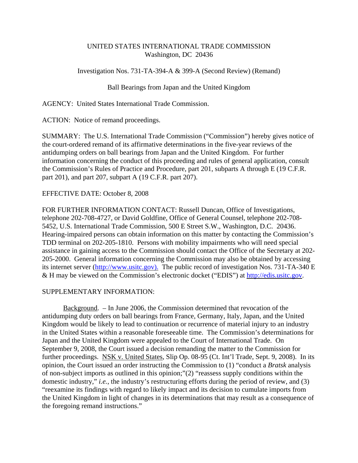## UNITED STATES INTERNATIONAL TRADE COMMISSION Washington, DC 20436

Investigation Nos. 731-TA-394-A & 399-A (Second Review) (Remand)

## Ball Bearings from Japan and the United Kingdom

AGENCY: United States International Trade Commission.

ACTION: Notice of remand proceedings.

SUMMARY: The U.S. International Trade Commission ("Commission") hereby gives notice of the court-ordered remand of its affirmative determinations in the five-year reviews of the antidumping orders on ball bearings from Japan and the United Kingdom. For further information concerning the conduct of this proceeding and rules of general application, consult the Commission's Rules of Practice and Procedure, part 201, subparts A through E (19 C.F.R. part 201), and part 207, subpart A (19 C.F.R. part 207).

## EFFECTIVE DATE: October 8, 2008

FOR FURTHER INFORMATION CONTACT: Russell Duncan, Office of Investigations, telephone 202-708-4727, or David Goldfine, Office of General Counsel, telephone 202-708- 5452, U.S. International Trade Commission, 500 E Street S.W., Washington, D.C. 20436. Hearing-impaired persons can obtain information on this matter by contacting the Commission's TDD terminal on 202-205-1810. Persons with mobility impairments who will need special assistance in gaining access to the Commission should contact the Office of the Secretary at 202- 205-2000. General information concerning the Commission may also be obtained by accessing its internet server (http://www.usitc.gov). The public record of investigation Nos. 731-TA-340 E & H may be viewed on the Commission's electronic docket ("EDIS") at http://edis.usitc.gov.

## SUPPLEMENTARY INFORMATION:

Background. – In June 2006, the Commission determined that revocation of the antidumping duty orders on ball bearings from France, Germany, Italy, Japan, and the United Kingdom would be likely to lead to continuation or recurrence of material injury to an industry in the United States within a reasonable foreseeable time. The Commission's determinations for Japan and the United Kingdom were appealed to the Court of International Trade. On September 9, 2008, the Court issued a decision remanding the matter to the Commission for further proceedings. NSK v. United States, Slip Op. 08-95 (Ct. Int'l Trade, Sept. 9, 2008). In its opinion, the Court issued an order instructing the Commission to (1) "conduct a *Bratsk* analysis of non-subject imports as outlined in this opinion;"(2) "reassess supply conditions within the domestic industry," *i.e.*, the industry's restructuring efforts during the period of review, and (3) "reexamine its findings with regard to likely impact and its decision to cumulate imports from the United Kingdom in light of changes in its determinations that may result as a consequence of the foregoing remand instructions."